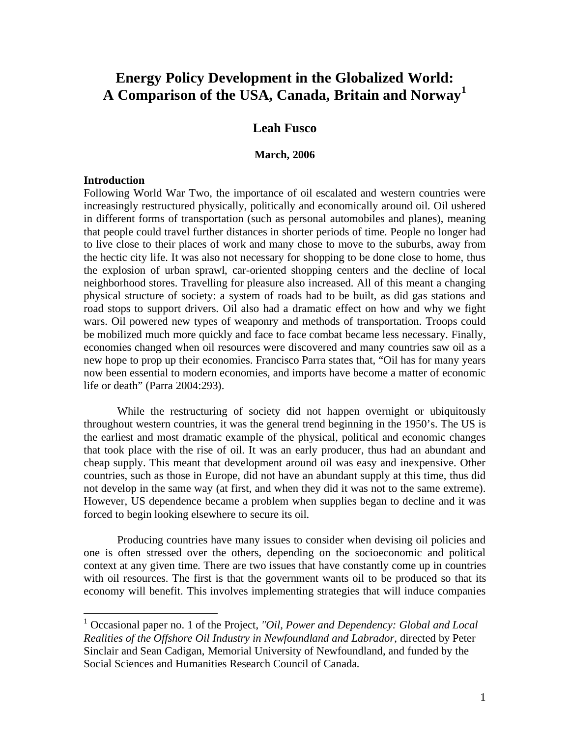# **Energy Policy Development in the Globalized World: A Comparison of the USA, Canada, Britain and Norway<sup>1</sup>**

# **Leah Fusco**

#### **March, 2006**

#### **Introduction**

 $\overline{a}$ 

Following World War Two, the importance of oil escalated and western countries were increasingly restructured physically, politically and economically around oil. Oil ushered in different forms of transportation (such as personal automobiles and planes), meaning that people could travel further distances in shorter periods of time. People no longer had to live close to their places of work and many chose to move to the suburbs, away from the hectic city life. It was also not necessary for shopping to be done close to home, thus the explosion of urban sprawl, car-oriented shopping centers and the decline of local neighborhood stores. Travelling for pleasure also increased. All of this meant a changing physical structure of society: a system of roads had to be built, as did gas stations and road stops to support drivers. Oil also had a dramatic effect on how and why we fight wars. Oil powered new types of weaponry and methods of transportation. Troops could be mobilized much more quickly and face to face combat became less necessary. Finally, economies changed when oil resources were discovered and many countries saw oil as a new hope to prop up their economies. Francisco Parra states that, "Oil has for many years now been essential to modern economies, and imports have become a matter of economic life or death" (Parra 2004:293).

 While the restructuring of society did not happen overnight or ubiquitously throughout western countries, it was the general trend beginning in the 1950's. The US is the earliest and most dramatic example of the physical, political and economic changes that took place with the rise of oil. It was an early producer, thus had an abundant and cheap supply. This meant that development around oil was easy and inexpensive. Other countries, such as those in Europe, did not have an abundant supply at this time, thus did not develop in the same way (at first, and when they did it was not to the same extreme). However, US dependence became a problem when supplies began to decline and it was forced to begin looking elsewhere to secure its oil.

 Producing countries have many issues to consider when devising oil policies and one is often stressed over the others, depending on the socioeconomic and political context at any given time. There are two issues that have constantly come up in countries with oil resources. The first is that the government wants oil to be produced so that its economy will benefit. This involves implementing strategies that will induce companies

<sup>&</sup>lt;sup>1</sup> Occasional paper no. 1 of the Project, "Oil, Power and Dependency: Global and Local *Realities of the Offshore Oil Industry in Newfoundland and Labrador*, directed by Peter Sinclair and Sean Cadigan, Memorial University of Newfoundland, and funded by the Social Sciences and Humanities Research Council of Canada*.*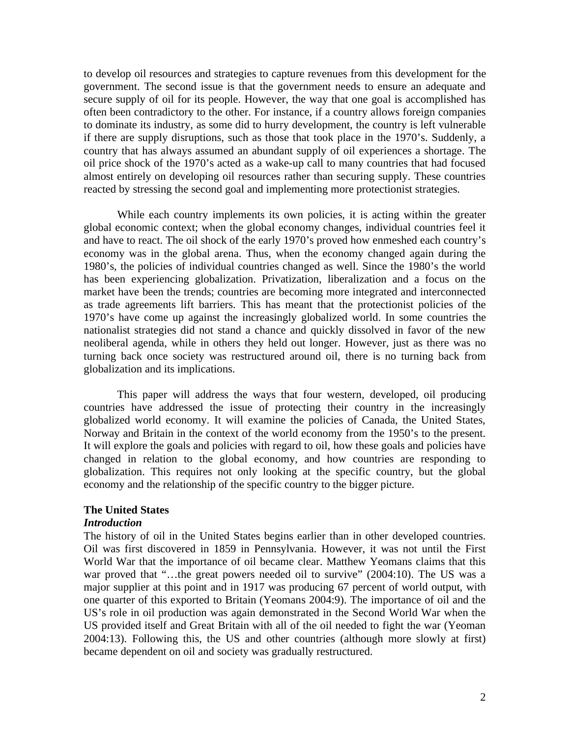to develop oil resources and strategies to capture revenues from this development for the government. The second issue is that the government needs to ensure an adequate and secure supply of oil for its people. However, the way that one goal is accomplished has often been contradictory to the other. For instance, if a country allows foreign companies to dominate its industry, as some did to hurry development, the country is left vulnerable if there are supply disruptions, such as those that took place in the 1970's. Suddenly, a country that has always assumed an abundant supply of oil experiences a shortage. The oil price shock of the 1970's acted as a wake-up call to many countries that had focused almost entirely on developing oil resources rather than securing supply. These countries reacted by stressing the second goal and implementing more protectionist strategies.

 While each country implements its own policies, it is acting within the greater global economic context; when the global economy changes, individual countries feel it and have to react. The oil shock of the early 1970's proved how enmeshed each country's economy was in the global arena. Thus, when the economy changed again during the 1980's, the policies of individual countries changed as well. Since the 1980's the world has been experiencing globalization. Privatization, liberalization and a focus on the market have been the trends; countries are becoming more integrated and interconnected as trade agreements lift barriers. This has meant that the protectionist policies of the 1970's have come up against the increasingly globalized world. In some countries the nationalist strategies did not stand a chance and quickly dissolved in favor of the new neoliberal agenda, while in others they held out longer. However, just as there was no turning back once society was restructured around oil, there is no turning back from globalization and its implications.

 This paper will address the ways that four western, developed, oil producing countries have addressed the issue of protecting their country in the increasingly globalized world economy. It will examine the policies of Canada, the United States, Norway and Britain in the context of the world economy from the 1950's to the present. It will explore the goals and policies with regard to oil, how these goals and policies have changed in relation to the global economy, and how countries are responding to globalization. This requires not only looking at the specific country, but the global economy and the relationship of the specific country to the bigger picture.

## **The United States**

#### *Introduction*

The history of oil in the United States begins earlier than in other developed countries. Oil was first discovered in 1859 in Pennsylvania. However, it was not until the First World War that the importance of oil became clear. Matthew Yeomans claims that this war proved that "...the great powers needed oil to survive" (2004:10). The US was a major supplier at this point and in 1917 was producing 67 percent of world output, with one quarter of this exported to Britain (Yeomans 2004:9). The importance of oil and the US's role in oil production was again demonstrated in the Second World War when the US provided itself and Great Britain with all of the oil needed to fight the war (Yeoman 2004:13). Following this, the US and other countries (although more slowly at first) became dependent on oil and society was gradually restructured.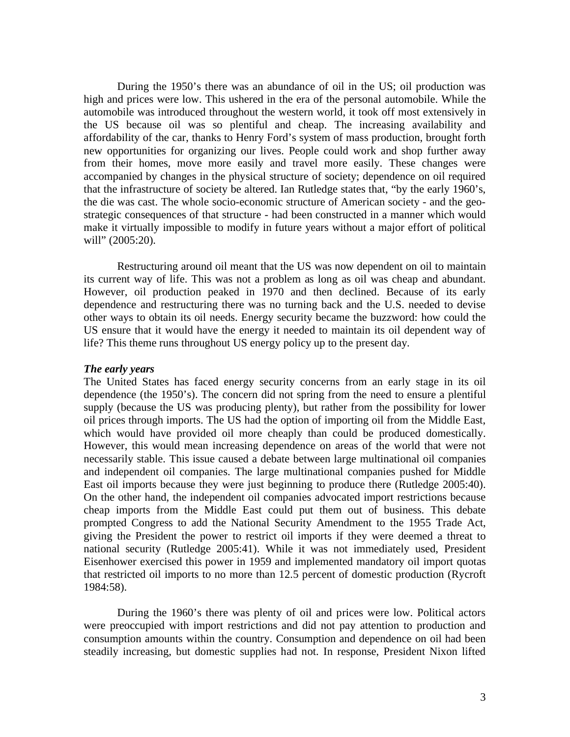During the 1950's there was an abundance of oil in the US; oil production was high and prices were low. This ushered in the era of the personal automobile. While the automobile was introduced throughout the western world, it took off most extensively in the US because oil was so plentiful and cheap. The increasing availability and affordability of the car, thanks to Henry Ford's system of mass production, brought forth new opportunities for organizing our lives. People could work and shop further away from their homes, move more easily and travel more easily. These changes were accompanied by changes in the physical structure of society; dependence on oil required that the infrastructure of society be altered. Ian Rutledge states that, "by the early 1960's, the die was cast. The whole socio-economic structure of American society - and the geostrategic consequences of that structure - had been constructed in a manner which would make it virtually impossible to modify in future years without a major effort of political will" (2005:20).

 Restructuring around oil meant that the US was now dependent on oil to maintain its current way of life. This was not a problem as long as oil was cheap and abundant. However, oil production peaked in 1970 and then declined. Because of its early dependence and restructuring there was no turning back and the U.S. needed to devise other ways to obtain its oil needs. Energy security became the buzzword: how could the US ensure that it would have the energy it needed to maintain its oil dependent way of life? This theme runs throughout US energy policy up to the present day.

#### *The early years*

The United States has faced energy security concerns from an early stage in its oil dependence (the 1950's). The concern did not spring from the need to ensure a plentiful supply (because the US was producing plenty), but rather from the possibility for lower oil prices through imports. The US had the option of importing oil from the Middle East, which would have provided oil more cheaply than could be produced domestically. However, this would mean increasing dependence on areas of the world that were not necessarily stable. This issue caused a debate between large multinational oil companies and independent oil companies. The large multinational companies pushed for Middle East oil imports because they were just beginning to produce there (Rutledge 2005:40). On the other hand, the independent oil companies advocated import restrictions because cheap imports from the Middle East could put them out of business. This debate prompted Congress to add the National Security Amendment to the 1955 Trade Act, giving the President the power to restrict oil imports if they were deemed a threat to national security (Rutledge 2005:41). While it was not immediately used, President Eisenhower exercised this power in 1959 and implemented mandatory oil import quotas that restricted oil imports to no more than 12.5 percent of domestic production (Rycroft 1984:58).

 During the 1960's there was plenty of oil and prices were low. Political actors were preoccupied with import restrictions and did not pay attention to production and consumption amounts within the country. Consumption and dependence on oil had been steadily increasing, but domestic supplies had not. In response, President Nixon lifted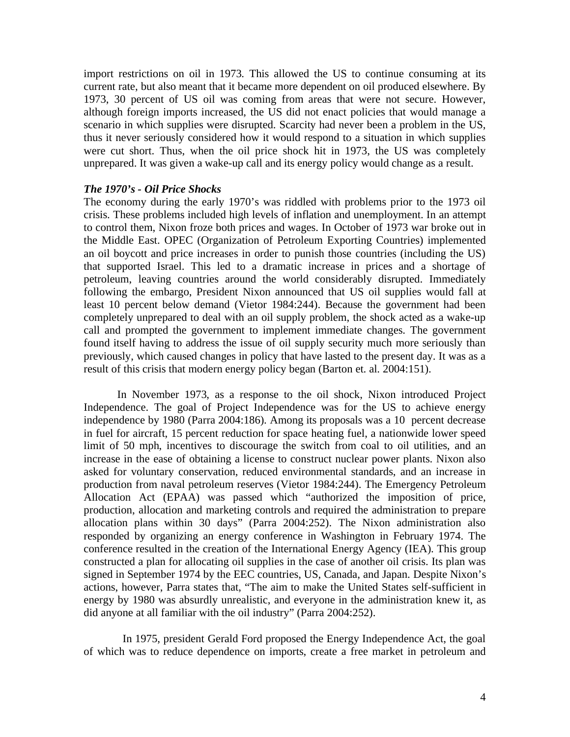import restrictions on oil in 1973. This allowed the US to continue consuming at its current rate, but also meant that it became more dependent on oil produced elsewhere. By 1973, 30 percent of US oil was coming from areas that were not secure. However, although foreign imports increased, the US did not enact policies that would manage a scenario in which supplies were disrupted. Scarcity had never been a problem in the US, thus it never seriously considered how it would respond to a situation in which supplies were cut short. Thus, when the oil price shock hit in 1973, the US was completely unprepared. It was given a wake-up call and its energy policy would change as a result.

#### *The 1970's - Oil Price Shocks*

The economy during the early 1970's was riddled with problems prior to the 1973 oil crisis. These problems included high levels of inflation and unemployment. In an attempt to control them, Nixon froze both prices and wages. In October of 1973 war broke out in the Middle East. OPEC (Organization of Petroleum Exporting Countries) implemented an oil boycott and price increases in order to punish those countries (including the US) that supported Israel. This led to a dramatic increase in prices and a shortage of petroleum, leaving countries around the world considerably disrupted. Immediately following the embargo, President Nixon announced that US oil supplies would fall at least 10 percent below demand (Vietor 1984:244). Because the government had been completely unprepared to deal with an oil supply problem, the shock acted as a wake-up call and prompted the government to implement immediate changes. The government found itself having to address the issue of oil supply security much more seriously than previously, which caused changes in policy that have lasted to the present day. It was as a result of this crisis that modern energy policy began (Barton et. al. 2004:151).

 In November 1973, as a response to the oil shock, Nixon introduced Project Independence. The goal of Project Independence was for the US to achieve energy independence by 1980 (Parra 2004:186). Among its proposals was a 10 percent decrease in fuel for aircraft, 15 percent reduction for space heating fuel, a nationwide lower speed limit of 50 mph, incentives to discourage the switch from coal to oil utilities, and an increase in the ease of obtaining a license to construct nuclear power plants. Nixon also asked for voluntary conservation, reduced environmental standards, and an increase in production from naval petroleum reserves (Vietor 1984:244). The Emergency Petroleum Allocation Act (EPAA) was passed which "authorized the imposition of price, production, allocation and marketing controls and required the administration to prepare allocation plans within 30 days" (Parra 2004:252). The Nixon administration also responded by organizing an energy conference in Washington in February 1974. The conference resulted in the creation of the International Energy Agency (IEA). This group constructed a plan for allocating oil supplies in the case of another oil crisis. Its plan was signed in September 1974 by the EEC countries, US, Canada, and Japan. Despite Nixon's actions, however, Parra states that, "The aim to make the United States self-sufficient in energy by 1980 was absurdly unrealistic, and everyone in the administration knew it, as did anyone at all familiar with the oil industry" (Parra 2004:252).

 In 1975, president Gerald Ford proposed the Energy Independence Act, the goal of which was to reduce dependence on imports, create a free market in petroleum and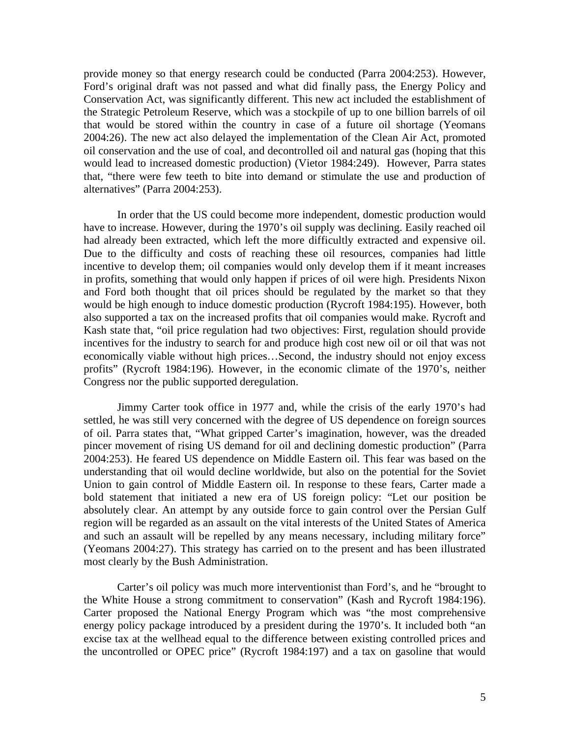provide money so that energy research could be conducted (Parra 2004:253). However, Ford's original draft was not passed and what did finally pass, the Energy Policy and Conservation Act, was significantly different. This new act included the establishment of the Strategic Petroleum Reserve, which was a stockpile of up to one billion barrels of oil that would be stored within the country in case of a future oil shortage (Yeomans 2004:26). The new act also delayed the implementation of the Clean Air Act, promoted oil conservation and the use of coal, and decontrolled oil and natural gas (hoping that this would lead to increased domestic production) (Vietor 1984:249). However, Parra states that, "there were few teeth to bite into demand or stimulate the use and production of alternatives" (Parra 2004:253).

 In order that the US could become more independent, domestic production would have to increase. However, during the 1970's oil supply was declining. Easily reached oil had already been extracted, which left the more difficultly extracted and expensive oil. Due to the difficulty and costs of reaching these oil resources, companies had little incentive to develop them; oil companies would only develop them if it meant increases in profits, something that would only happen if prices of oil were high. Presidents Nixon and Ford both thought that oil prices should be regulated by the market so that they would be high enough to induce domestic production (Rycroft 1984:195). However, both also supported a tax on the increased profits that oil companies would make. Rycroft and Kash state that, "oil price regulation had two objectives: First, regulation should provide incentives for the industry to search for and produce high cost new oil or oil that was not economically viable without high prices…Second, the industry should not enjoy excess profits" (Rycroft 1984:196). However, in the economic climate of the 1970's, neither Congress nor the public supported deregulation.

Jimmy Carter took office in 1977 and, while the crisis of the early 1970's had settled, he was still very concerned with the degree of US dependence on foreign sources of oil. Parra states that, "What gripped Carter's imagination, however, was the dreaded pincer movement of rising US demand for oil and declining domestic production" (Parra 2004:253). He feared US dependence on Middle Eastern oil. This fear was based on the understanding that oil would decline worldwide, but also on the potential for the Soviet Union to gain control of Middle Eastern oil. In response to these fears, Carter made a bold statement that initiated a new era of US foreign policy: "Let our position be absolutely clear. An attempt by any outside force to gain control over the Persian Gulf region will be regarded as an assault on the vital interests of the United States of America and such an assault will be repelled by any means necessary, including military force" (Yeomans 2004:27). This strategy has carried on to the present and has been illustrated most clearly by the Bush Administration.

 Carter's oil policy was much more interventionist than Ford's, and he "brought to the White House a strong commitment to conservation" (Kash and Rycroft 1984:196). Carter proposed the National Energy Program which was "the most comprehensive energy policy package introduced by a president during the 1970's. It included both "an excise tax at the wellhead equal to the difference between existing controlled prices and the uncontrolled or OPEC price" (Rycroft 1984:197) and a tax on gasoline that would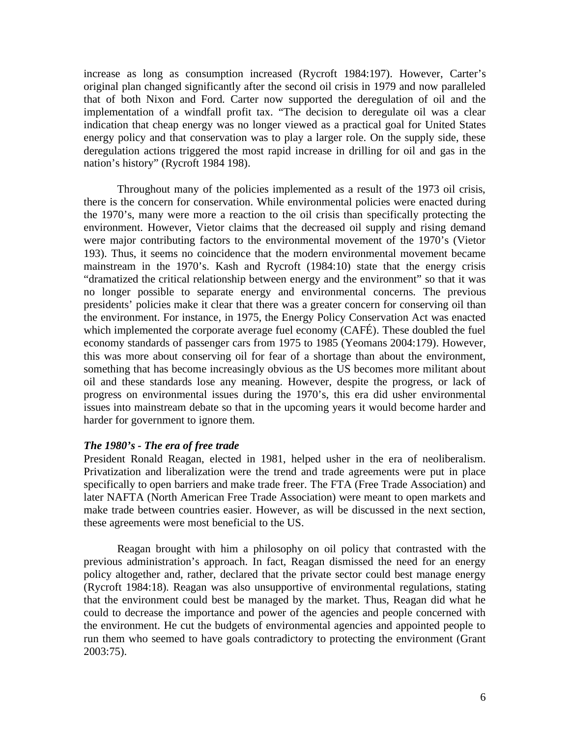increase as long as consumption increased (Rycroft 1984:197). However, Carter's original plan changed significantly after the second oil crisis in 1979 and now paralleled that of both Nixon and Ford. Carter now supported the deregulation of oil and the implementation of a windfall profit tax. "The decision to deregulate oil was a clear indication that cheap energy was no longer viewed as a practical goal for United States energy policy and that conservation was to play a larger role. On the supply side, these deregulation actions triggered the most rapid increase in drilling for oil and gas in the nation's history" (Rycroft 1984 198).

 Throughout many of the policies implemented as a result of the 1973 oil crisis, there is the concern for conservation. While environmental policies were enacted during the 1970's, many were more a reaction to the oil crisis than specifically protecting the environment. However, Vietor claims that the decreased oil supply and rising demand were major contributing factors to the environmental movement of the 1970's (Vietor 193). Thus, it seems no coincidence that the modern environmental movement became mainstream in the 1970's. Kash and Rycroft (1984:10) state that the energy crisis "dramatized the critical relationship between energy and the environment" so that it was no longer possible to separate energy and environmental concerns. The previous presidents' policies make it clear that there was a greater concern for conserving oil than the environment. For instance, in 1975, the Energy Policy Conservation Act was enacted which implemented the corporate average fuel economy (CAFÉ). These doubled the fuel economy standards of passenger cars from 1975 to 1985 (Yeomans 2004:179). However, this was more about conserving oil for fear of a shortage than about the environment, something that has become increasingly obvious as the US becomes more militant about oil and these standards lose any meaning. However, despite the progress, or lack of progress on environmental issues during the 1970's, this era did usher environmental issues into mainstream debate so that in the upcoming years it would become harder and harder for government to ignore them.

#### *The 1980's - The era of free trade*

President Ronald Reagan, elected in 1981, helped usher in the era of neoliberalism. Privatization and liberalization were the trend and trade agreements were put in place specifically to open barriers and make trade freer. The FTA (Free Trade Association) and later NAFTA (North American Free Trade Association) were meant to open markets and make trade between countries easier. However, as will be discussed in the next section, these agreements were most beneficial to the US.

 Reagan brought with him a philosophy on oil policy that contrasted with the previous administration's approach. In fact, Reagan dismissed the need for an energy policy altogether and, rather, declared that the private sector could best manage energy (Rycroft 1984:18). Reagan was also unsupportive of environmental regulations, stating that the environment could best be managed by the market. Thus, Reagan did what he could to decrease the importance and power of the agencies and people concerned with the environment. He cut the budgets of environmental agencies and appointed people to run them who seemed to have goals contradictory to protecting the environment (Grant 2003:75).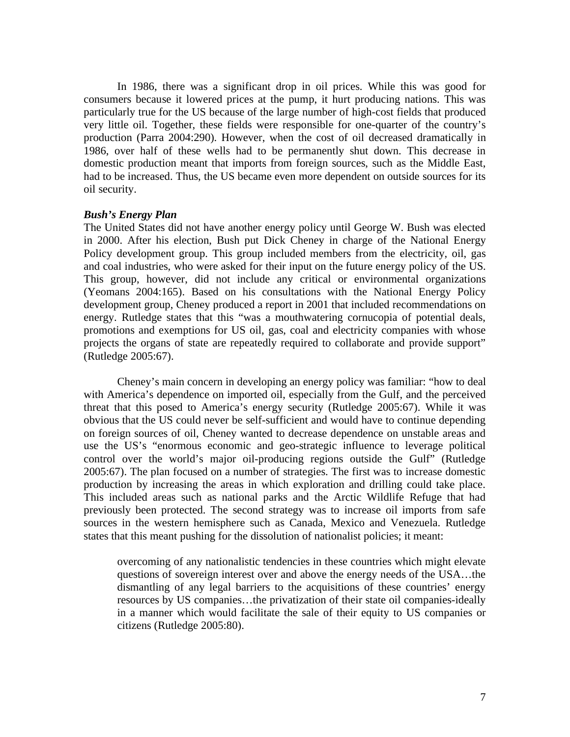In 1986, there was a significant drop in oil prices. While this was good for consumers because it lowered prices at the pump, it hurt producing nations. This was particularly true for the US because of the large number of high-cost fields that produced very little oil. Together, these fields were responsible for one-quarter of the country's production (Parra 2004:290). However, when the cost of oil decreased dramatically in 1986, over half of these wells had to be permanently shut down. This decrease in domestic production meant that imports from foreign sources, such as the Middle East, had to be increased. Thus, the US became even more dependent on outside sources for its oil security.

#### *Bush's Energy Plan*

The United States did not have another energy policy until George W. Bush was elected in 2000. After his election, Bush put Dick Cheney in charge of the National Energy Policy development group. This group included members from the electricity, oil, gas and coal industries, who were asked for their input on the future energy policy of the US. This group, however, did not include any critical or environmental organizations (Yeomans 2004:165). Based on his consultations with the National Energy Policy development group, Cheney produced a report in 2001 that included recommendations on energy. Rutledge states that this "was a mouthwatering cornucopia of potential deals, promotions and exemptions for US oil, gas, coal and electricity companies with whose projects the organs of state are repeatedly required to collaborate and provide support" (Rutledge 2005:67).

 Cheney's main concern in developing an energy policy was familiar: "how to deal with America's dependence on imported oil, especially from the Gulf, and the perceived threat that this posed to America's energy security (Rutledge 2005:67). While it was obvious that the US could never be self-sufficient and would have to continue depending on foreign sources of oil, Cheney wanted to decrease dependence on unstable areas and use the US's "enormous economic and geo-strategic influence to leverage political control over the world's major oil-producing regions outside the Gulf" (Rutledge 2005:67). The plan focused on a number of strategies. The first was to increase domestic production by increasing the areas in which exploration and drilling could take place. This included areas such as national parks and the Arctic Wildlife Refuge that had previously been protected. The second strategy was to increase oil imports from safe sources in the western hemisphere such as Canada, Mexico and Venezuela. Rutledge states that this meant pushing for the dissolution of nationalist policies; it meant:

overcoming of any nationalistic tendencies in these countries which might elevate questions of sovereign interest over and above the energy needs of the USA…the dismantling of any legal barriers to the acquisitions of these countries' energy resources by US companies…the privatization of their state oil companies-ideally in a manner which would facilitate the sale of their equity to US companies or citizens (Rutledge 2005:80).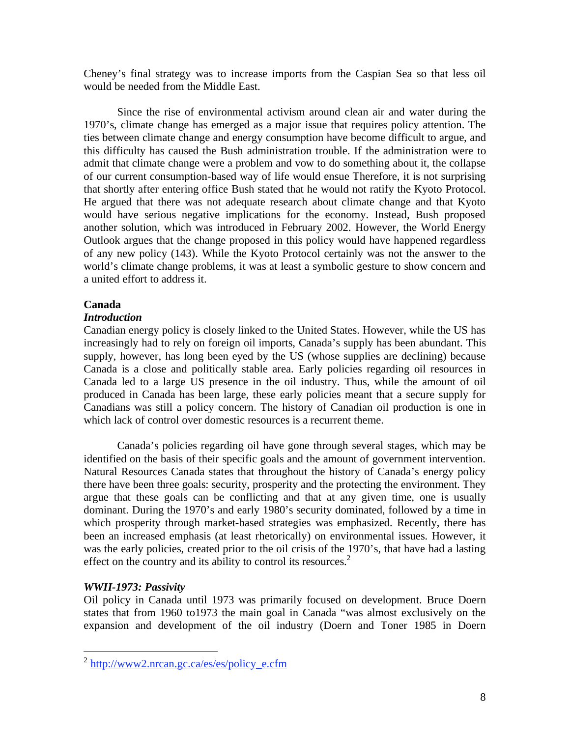Cheney's final strategy was to increase imports from the Caspian Sea so that less oil would be needed from the Middle East.

 Since the rise of environmental activism around clean air and water during the 1970's, climate change has emerged as a major issue that requires policy attention. The ties between climate change and energy consumption have become difficult to argue, and this difficulty has caused the Bush administration trouble. If the administration were to admit that climate change were a problem and vow to do something about it, the collapse of our current consumption-based way of life would ensue Therefore, it is not surprising that shortly after entering office Bush stated that he would not ratify the Kyoto Protocol. He argued that there was not adequate research about climate change and that Kyoto would have serious negative implications for the economy. Instead, Bush proposed another solution, which was introduced in February 2002. However, the World Energy Outlook argues that the change proposed in this policy would have happened regardless of any new policy (143). While the Kyoto Protocol certainly was not the answer to the world's climate change problems, it was at least a symbolic gesture to show concern and a united effort to address it.

# **Canada**

# *Introduction*

Canadian energy policy is closely linked to the United States. However, while the US has increasingly had to rely on foreign oil imports, Canada's supply has been abundant. This supply, however, has long been eyed by the US (whose supplies are declining) because Canada is a close and politically stable area. Early policies regarding oil resources in Canada led to a large US presence in the oil industry. Thus, while the amount of oil produced in Canada has been large, these early policies meant that a secure supply for Canadians was still a policy concern. The history of Canadian oil production is one in which lack of control over domestic resources is a recurrent theme.

 Canada's policies regarding oil have gone through several stages, which may be identified on the basis of their specific goals and the amount of government intervention. Natural Resources Canada states that throughout the history of Canada's energy policy there have been three goals: security, prosperity and the protecting the environment. They argue that these goals can be conflicting and that at any given time, one is usually dominant. During the 1970's and early 1980's security dominated, followed by a time in which prosperity through market-based strategies was emphasized. Recently, there has been an increased emphasis (at least rhetorically) on environmental issues. However, it was the early policies, created prior to the oil crisis of the 1970's, that have had a lasting effect on the country and its ability to control its resources. $2$ 

# *WWII-1973: Passivity*

 $\overline{a}$ 

Oil policy in Canada until 1973 was primarily focused on development. Bruce Doern states that from 1960 to1973 the main goal in Canada "was almost exclusively on the expansion and development of the oil industry (Doern and Toner 1985 in Doern

<sup>&</sup>lt;sup>2</sup> http://www2.nrcan.gc.ca/es/es/policy\_e.cfm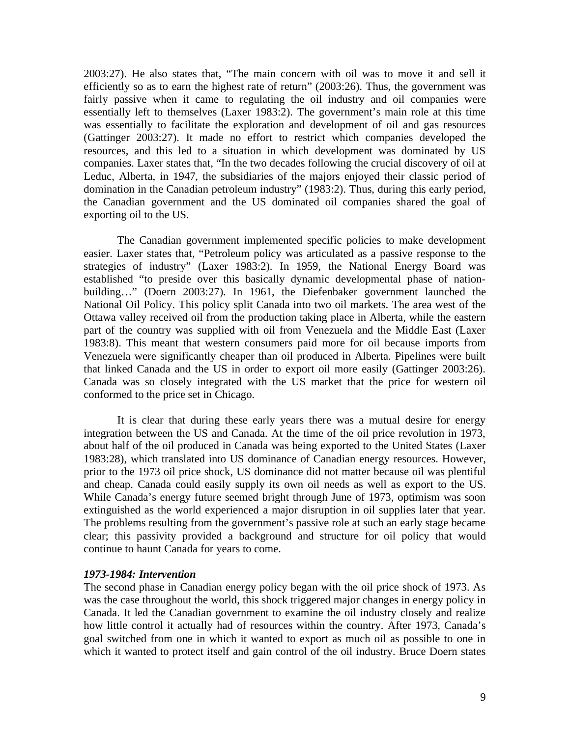2003:27). He also states that, "The main concern with oil was to move it and sell it efficiently so as to earn the highest rate of return" (2003:26). Thus, the government was fairly passive when it came to regulating the oil industry and oil companies were essentially left to themselves (Laxer 1983:2). The government's main role at this time was essentially to facilitate the exploration and development of oil and gas resources (Gattinger 2003:27). It made no effort to restrict which companies developed the resources, and this led to a situation in which development was dominated by US companies. Laxer states that, "In the two decades following the crucial discovery of oil at Leduc, Alberta, in 1947, the subsidiaries of the majors enjoyed their classic period of domination in the Canadian petroleum industry" (1983:2). Thus, during this early period, the Canadian government and the US dominated oil companies shared the goal of exporting oil to the US.

The Canadian government implemented specific policies to make development easier. Laxer states that, "Petroleum policy was articulated as a passive response to the strategies of industry" (Laxer 1983:2). In 1959, the National Energy Board was established "to preside over this basically dynamic developmental phase of nationbuilding…" (Doern 2003:27). In 1961, the Diefenbaker government launched the National Oil Policy. This policy split Canada into two oil markets. The area west of the Ottawa valley received oil from the production taking place in Alberta, while the eastern part of the country was supplied with oil from Venezuela and the Middle East (Laxer 1983:8). This meant that western consumers paid more for oil because imports from Venezuela were significantly cheaper than oil produced in Alberta. Pipelines were built that linked Canada and the US in order to export oil more easily (Gattinger 2003:26). Canada was so closely integrated with the US market that the price for western oil conformed to the price set in Chicago.

 It is clear that during these early years there was a mutual desire for energy integration between the US and Canada. At the time of the oil price revolution in 1973, about half of the oil produced in Canada was being exported to the United States (Laxer 1983:28), which translated into US dominance of Canadian energy resources. However, prior to the 1973 oil price shock, US dominance did not matter because oil was plentiful and cheap. Canada could easily supply its own oil needs as well as export to the US. While Canada's energy future seemed bright through June of 1973, optimism was soon extinguished as the world experienced a major disruption in oil supplies later that year. The problems resulting from the government's passive role at such an early stage became clear; this passivity provided a background and structure for oil policy that would continue to haunt Canada for years to come.

## *1973-1984: Intervention*

The second phase in Canadian energy policy began with the oil price shock of 1973. As was the case throughout the world, this shock triggered major changes in energy policy in Canada. It led the Canadian government to examine the oil industry closely and realize how little control it actually had of resources within the country. After 1973, Canada's goal switched from one in which it wanted to export as much oil as possible to one in which it wanted to protect itself and gain control of the oil industry. Bruce Doern states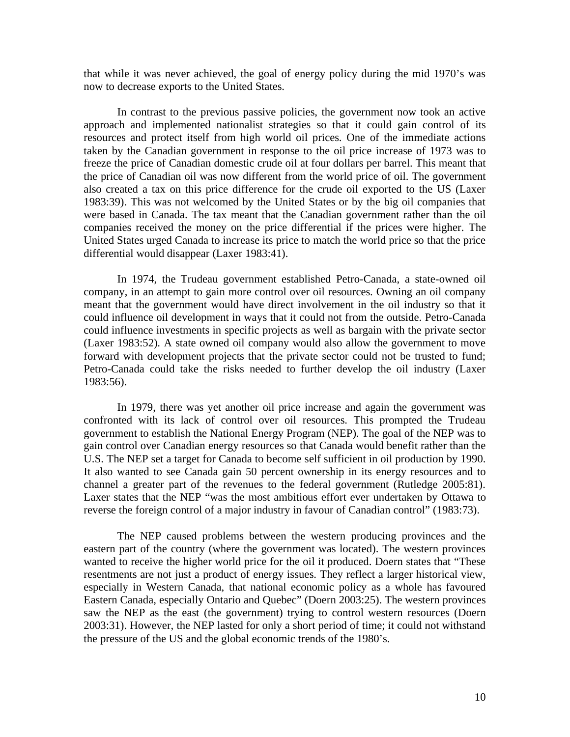that while it was never achieved, the goal of energy policy during the mid 1970's was now to decrease exports to the United States.

 In contrast to the previous passive policies, the government now took an active approach and implemented nationalist strategies so that it could gain control of its resources and protect itself from high world oil prices. One of the immediate actions taken by the Canadian government in response to the oil price increase of 1973 was to freeze the price of Canadian domestic crude oil at four dollars per barrel. This meant that the price of Canadian oil was now different from the world price of oil. The government also created a tax on this price difference for the crude oil exported to the US (Laxer 1983:39). This was not welcomed by the United States or by the big oil companies that were based in Canada. The tax meant that the Canadian government rather than the oil companies received the money on the price differential if the prices were higher. The United States urged Canada to increase its price to match the world price so that the price differential would disappear (Laxer 1983:41).

 In 1974, the Trudeau government established Petro-Canada, a state-owned oil company, in an attempt to gain more control over oil resources. Owning an oil company meant that the government would have direct involvement in the oil industry so that it could influence oil development in ways that it could not from the outside. Petro-Canada could influence investments in specific projects as well as bargain with the private sector (Laxer 1983:52). A state owned oil company would also allow the government to move forward with development projects that the private sector could not be trusted to fund; Petro-Canada could take the risks needed to further develop the oil industry (Laxer 1983:56).

 In 1979, there was yet another oil price increase and again the government was confronted with its lack of control over oil resources. This prompted the Trudeau government to establish the National Energy Program (NEP). The goal of the NEP was to gain control over Canadian energy resources so that Canada would benefit rather than the U.S. The NEP set a target for Canada to become self sufficient in oil production by 1990. It also wanted to see Canada gain 50 percent ownership in its energy resources and to channel a greater part of the revenues to the federal government (Rutledge 2005:81). Laxer states that the NEP "was the most ambitious effort ever undertaken by Ottawa to reverse the foreign control of a major industry in favour of Canadian control" (1983:73).

 The NEP caused problems between the western producing provinces and the eastern part of the country (where the government was located). The western provinces wanted to receive the higher world price for the oil it produced. Doern states that "These resentments are not just a product of energy issues. They reflect a larger historical view, especially in Western Canada, that national economic policy as a whole has favoured Eastern Canada, especially Ontario and Quebec" (Doern 2003:25). The western provinces saw the NEP as the east (the government) trying to control western resources (Doern 2003:31). However, the NEP lasted for only a short period of time; it could not withstand the pressure of the US and the global economic trends of the 1980's.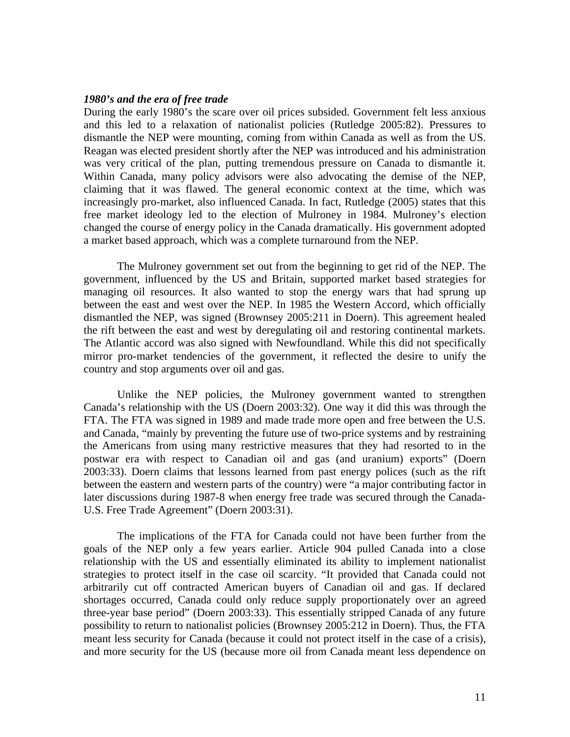#### *1980's and the era of free trade*

During the early 1980's the scare over oil prices subsided. Government felt less anxious and this led to a relaxation of nationalist policies (Rutledge 2005:82). Pressures to dismantle the NEP were mounting, coming from within Canada as well as from the US. Reagan was elected president shortly after the NEP was introduced and his administration was very critical of the plan, putting tremendous pressure on Canada to dismantle it. Within Canada, many policy advisors were also advocating the demise of the NEP, claiming that it was flawed. The general economic context at the time, which was increasingly pro-market, also influenced Canada. In fact, Rutledge (2005) states that this free market ideology led to the election of Mulroney in 1984. Mulroney's election changed the course of energy policy in the Canada dramatically. His government adopted a market based approach, which was a complete turnaround from the NEP.

 The Mulroney government set out from the beginning to get rid of the NEP. The government, influenced by the US and Britain, supported market based strategies for managing oil resources. It also wanted to stop the energy wars that had sprung up between the east and west over the NEP. In 1985 the Western Accord, which officially dismantled the NEP, was signed (Brownsey 2005:211 in Doern). This agreement healed the rift between the east and west by deregulating oil and restoring continental markets. The Atlantic accord was also signed with Newfoundland. While this did not specifically mirror pro-market tendencies of the government, it reflected the desire to unify the country and stop arguments over oil and gas.

 Unlike the NEP policies, the Mulroney government wanted to strengthen Canada's relationship with the US (Doern 2003:32). One way it did this was through the FTA. The FTA was signed in 1989 and made trade more open and free between the U.S. and Canada, "mainly by preventing the future use of two-price systems and by restraining the Americans from using many restrictive measures that they had resorted to in the postwar era with respect to Canadian oil and gas (and uranium) exports" (Doern 2003:33). Doern claims that lessons learned from past energy polices (such as the rift between the eastern and western parts of the country) were "a major contributing factor in later discussions during 1987-8 when energy free trade was secured through the Canada-U.S. Free Trade Agreement" (Doern 2003:31).

 The implications of the FTA for Canada could not have been further from the goals of the NEP only a few years earlier. Article 904 pulled Canada into a close relationship with the US and essentially eliminated its ability to implement nationalist strategies to protect itself in the case oil scarcity. "It provided that Canada could not arbitrarily cut off contracted American buyers of Canadian oil and gas. If declared shortages occurred, Canada could only reduce supply proportionately over an agreed three-year base period" (Doern 2003:33). This essentially stripped Canada of any future possibility to return to nationalist policies (Brownsey 2005:212 in Doern). Thus, the FTA meant less security for Canada (because it could not protect itself in the case of a crisis), and more security for the US (because more oil from Canada meant less dependence on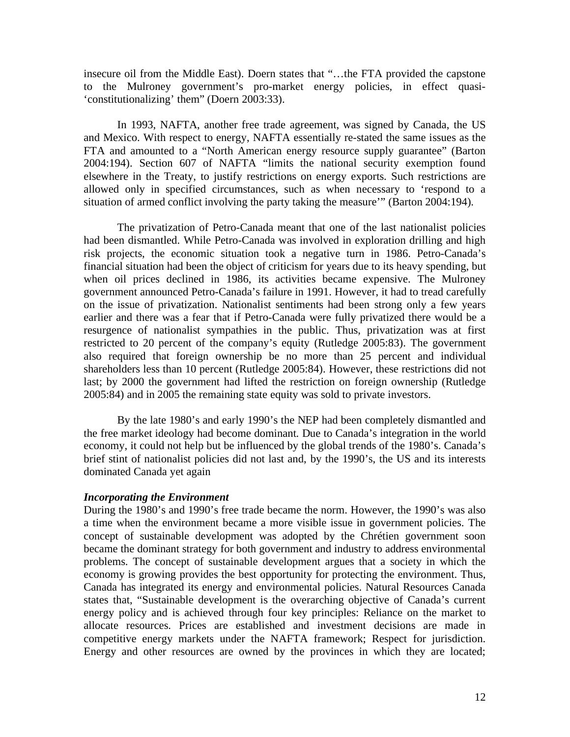insecure oil from the Middle East). Doern states that "…the FTA provided the capstone to the Mulroney government's pro-market energy policies, in effect quasi- 'constitutionalizing' them" (Doern 2003:33).

 In 1993, NAFTA, another free trade agreement, was signed by Canada, the US and Mexico. With respect to energy, NAFTA essentially re-stated the same issues as the FTA and amounted to a "North American energy resource supply guarantee" (Barton 2004:194). Section 607 of NAFTA "limits the national security exemption found elsewhere in the Treaty, to justify restrictions on energy exports. Such restrictions are allowed only in specified circumstances, such as when necessary to 'respond to a situation of armed conflict involving the party taking the measure'" (Barton 2004:194).

 The privatization of Petro-Canada meant that one of the last nationalist policies had been dismantled. While Petro-Canada was involved in exploration drilling and high risk projects, the economic situation took a negative turn in 1986. Petro-Canada's financial situation had been the object of criticism for years due to its heavy spending, but when oil prices declined in 1986, its activities became expensive. The Mulroney government announced Petro-Canada's failure in 1991. However, it had to tread carefully on the issue of privatization. Nationalist sentiments had been strong only a few years earlier and there was a fear that if Petro-Canada were fully privatized there would be a resurgence of nationalist sympathies in the public. Thus, privatization was at first restricted to 20 percent of the company's equity (Rutledge 2005:83). The government also required that foreign ownership be no more than 25 percent and individual shareholders less than 10 percent (Rutledge 2005:84). However, these restrictions did not last; by 2000 the government had lifted the restriction on foreign ownership (Rutledge 2005:84) and in 2005 the remaining state equity was sold to private investors.

 By the late 1980's and early 1990's the NEP had been completely dismantled and the free market ideology had become dominant. Due to Canada's integration in the world economy, it could not help but be influenced by the global trends of the 1980's. Canada's brief stint of nationalist policies did not last and, by the 1990's, the US and its interests dominated Canada yet again

## *Incorporating the Environment*

During the 1980's and 1990's free trade became the norm. However, the 1990's was also a time when the environment became a more visible issue in government policies. The concept of sustainable development was adopted by the Chrétien government soon became the dominant strategy for both government and industry to address environmental problems. The concept of sustainable development argues that a society in which the economy is growing provides the best opportunity for protecting the environment. Thus, Canada has integrated its energy and environmental policies. Natural Resources Canada states that, "Sustainable development is the overarching objective of Canada's current energy policy and is achieved through four key principles: Reliance on the market to allocate resources. Prices are established and investment decisions are made in competitive energy markets under the NAFTA framework; Respect for jurisdiction. Energy and other resources are owned by the provinces in which they are located;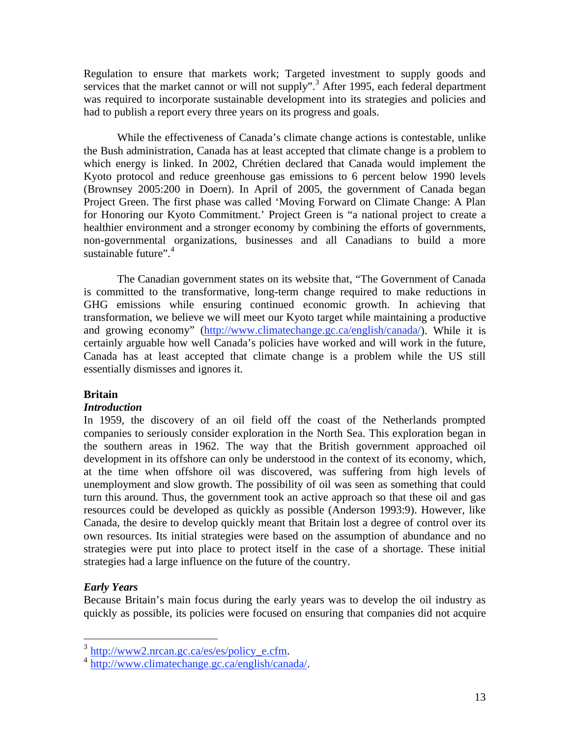Regulation to ensure that markets work; Targeted investment to supply goods and services that the market cannot or will not supply".<sup>3</sup> After 1995, each federal department was required to incorporate sustainable development into its strategies and policies and had to publish a report every three years on its progress and goals.

 While the effectiveness of Canada's climate change actions is contestable, unlike the Bush administration, Canada has at least accepted that climate change is a problem to which energy is linked. In 2002, Chrétien declared that Canada would implement the Kyoto protocol and reduce greenhouse gas emissions to 6 percent below 1990 levels (Brownsey 2005:200 in Doern). In April of 2005, the government of Canada began Project Green. The first phase was called 'Moving Forward on Climate Change: A Plan for Honoring our Kyoto Commitment.' Project Green is "a national project to create a healthier environment and a stronger economy by combining the efforts of governments, non-governmental organizations, businesses and all Canadians to build a more sustainable future". $4$ 

The Canadian government states on its website that, "The Government of Canada is committed to the transformative, long-term change required to make reductions in GHG emissions while ensuring continued economic growth. In achieving that transformation, we believe we will meet our Kyoto target while maintaining a productive and growing economy" (http://www.climatechange.gc.ca/english/canada/). While it is certainly arguable how well Canada's policies have worked and will work in the future, Canada has at least accepted that climate change is a problem while the US still essentially dismisses and ignores it.

# **Britain**

## *Introduction*

In 1959, the discovery of an oil field off the coast of the Netherlands prompted companies to seriously consider exploration in the North Sea. This exploration began in the southern areas in 1962. The way that the British government approached oil development in its offshore can only be understood in the context of its economy, which, at the time when offshore oil was discovered, was suffering from high levels of unemployment and slow growth. The possibility of oil was seen as something that could turn this around. Thus, the government took an active approach so that these oil and gas resources could be developed as quickly as possible (Anderson 1993:9). However, like Canada, the desire to develop quickly meant that Britain lost a degree of control over its own resources. Its initial strategies were based on the assumption of abundance and no strategies were put into place to protect itself in the case of a shortage. These initial strategies had a large influence on the future of the country.

# *Early Years*

Because Britain's main focus during the early years was to develop the oil industry as quickly as possible, its policies were focused on ensuring that companies did not acquire

 $3$  http://www2.nrcan.gc.ca/es/es/policy e.cfm.

 $\frac{4 \text{ http://www.climatechange.gc.ca/english/canada/}}{$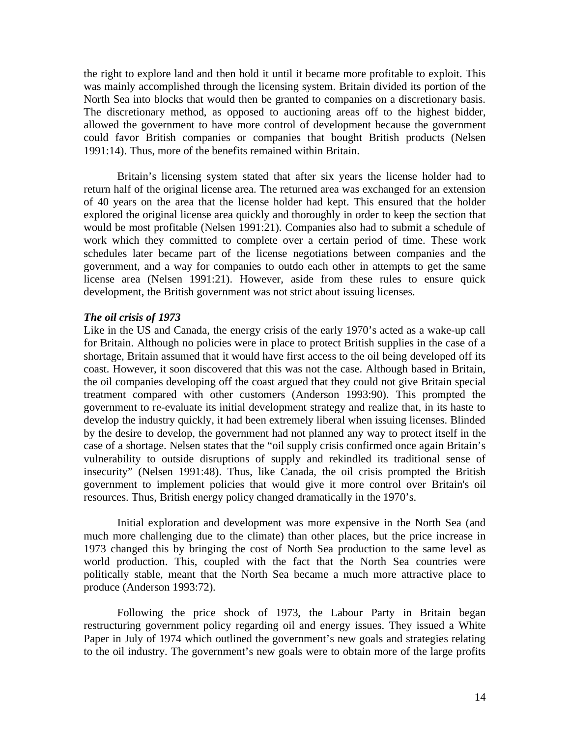the right to explore land and then hold it until it became more profitable to exploit. This was mainly accomplished through the licensing system. Britain divided its portion of the North Sea into blocks that would then be granted to companies on a discretionary basis. The discretionary method, as opposed to auctioning areas off to the highest bidder, allowed the government to have more control of development because the government could favor British companies or companies that bought British products (Nelsen 1991:14). Thus, more of the benefits remained within Britain.

 Britain's licensing system stated that after six years the license holder had to return half of the original license area. The returned area was exchanged for an extension of 40 years on the area that the license holder had kept. This ensured that the holder explored the original license area quickly and thoroughly in order to keep the section that would be most profitable (Nelsen 1991:21). Companies also had to submit a schedule of work which they committed to complete over a certain period of time. These work schedules later became part of the license negotiations between companies and the government, and a way for companies to outdo each other in attempts to get the same license area (Nelsen 1991:21). However, aside from these rules to ensure quick development, the British government was not strict about issuing licenses.

#### *The oil crisis of 1973*

Like in the US and Canada, the energy crisis of the early 1970's acted as a wake-up call for Britain. Although no policies were in place to protect British supplies in the case of a shortage, Britain assumed that it would have first access to the oil being developed off its coast. However, it soon discovered that this was not the case. Although based in Britain, the oil companies developing off the coast argued that they could not give Britain special treatment compared with other customers (Anderson 1993:90). This prompted the government to re-evaluate its initial development strategy and realize that, in its haste to develop the industry quickly, it had been extremely liberal when issuing licenses. Blinded by the desire to develop, the government had not planned any way to protect itself in the case of a shortage. Nelsen states that the "oil supply crisis confirmed once again Britain's vulnerability to outside disruptions of supply and rekindled its traditional sense of insecurity" (Nelsen 1991:48). Thus, like Canada, the oil crisis prompted the British government to implement policies that would give it more control over Britain's oil resources. Thus, British energy policy changed dramatically in the 1970's.

 Initial exploration and development was more expensive in the North Sea (and much more challenging due to the climate) than other places, but the price increase in 1973 changed this by bringing the cost of North Sea production to the same level as world production. This, coupled with the fact that the North Sea countries were politically stable, meant that the North Sea became a much more attractive place to produce (Anderson 1993:72).

 Following the price shock of 1973, the Labour Party in Britain began restructuring government policy regarding oil and energy issues. They issued a White Paper in July of 1974 which outlined the government's new goals and strategies relating to the oil industry. The government's new goals were to obtain more of the large profits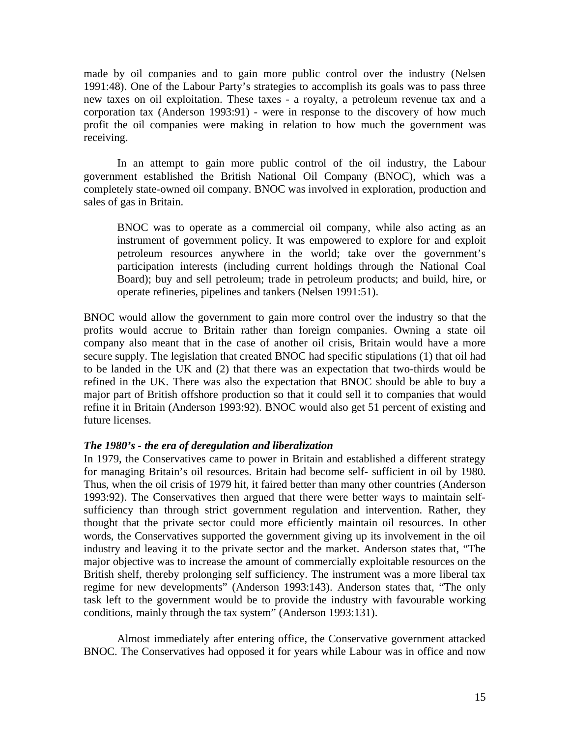made by oil companies and to gain more public control over the industry (Nelsen 1991:48). One of the Labour Party's strategies to accomplish its goals was to pass three new taxes on oil exploitation. These taxes - a royalty, a petroleum revenue tax and a corporation tax (Anderson 1993:91) - were in response to the discovery of how much profit the oil companies were making in relation to how much the government was receiving.

 In an attempt to gain more public control of the oil industry, the Labour government established the British National Oil Company (BNOC), which was a completely state-owned oil company. BNOC was involved in exploration, production and sales of gas in Britain.

BNOC was to operate as a commercial oil company, while also acting as an instrument of government policy. It was empowered to explore for and exploit petroleum resources anywhere in the world; take over the government's participation interests (including current holdings through the National Coal Board); buy and sell petroleum; trade in petroleum products; and build, hire, or operate refineries, pipelines and tankers (Nelsen 1991:51).

BNOC would allow the government to gain more control over the industry so that the profits would accrue to Britain rather than foreign companies. Owning a state oil company also meant that in the case of another oil crisis, Britain would have a more secure supply. The legislation that created BNOC had specific stipulations (1) that oil had to be landed in the UK and (2) that there was an expectation that two-thirds would be refined in the UK. There was also the expectation that BNOC should be able to buy a major part of British offshore production so that it could sell it to companies that would refine it in Britain (Anderson 1993:92). BNOC would also get 51 percent of existing and future licenses.

## *The 1980's - the era of deregulation and liberalization*

In 1979, the Conservatives came to power in Britain and established a different strategy for managing Britain's oil resources. Britain had become self- sufficient in oil by 1980. Thus, when the oil crisis of 1979 hit, it faired better than many other countries (Anderson 1993:92). The Conservatives then argued that there were better ways to maintain selfsufficiency than through strict government regulation and intervention. Rather, they thought that the private sector could more efficiently maintain oil resources. In other words, the Conservatives supported the government giving up its involvement in the oil industry and leaving it to the private sector and the market. Anderson states that, "The major objective was to increase the amount of commercially exploitable resources on the British shelf, thereby prolonging self sufficiency. The instrument was a more liberal tax regime for new developments" (Anderson 1993:143). Anderson states that, "The only task left to the government would be to provide the industry with favourable working conditions, mainly through the tax system" (Anderson 1993:131).

Almost immediately after entering office, the Conservative government attacked BNOC. The Conservatives had opposed it for years while Labour was in office and now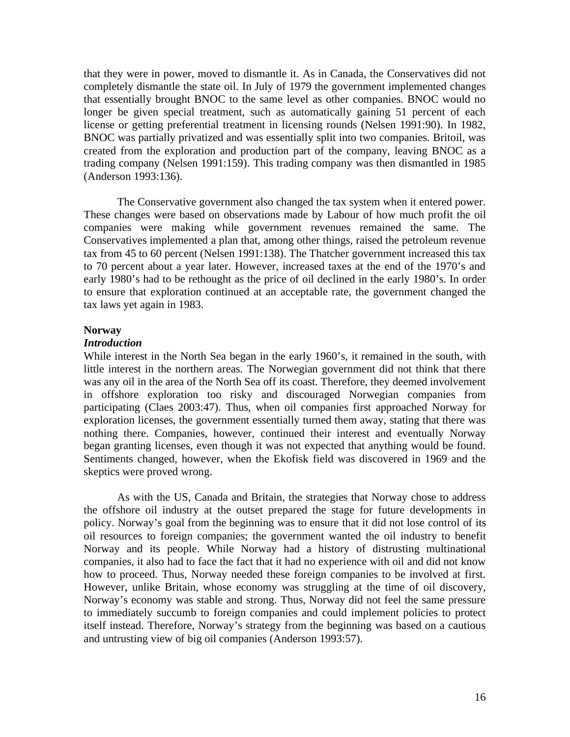that they were in power, moved to dismantle it. As in Canada, the Conservatives did not completely dismantle the state oil. In July of 1979 the government implemented changes that essentially brought BNOC to the same level as other companies. BNOC would no longer be given special treatment, such as automatically gaining 51 percent of each license or getting preferential treatment in licensing rounds (Nelsen 1991:90). In 1982, BNOC was partially privatized and was essentially split into two companies. Britoil, was created from the exploration and production part of the company, leaving BNOC as a trading company (Nelsen 1991:159). This trading company was then dismantled in 1985 (Anderson 1993:136).

 The Conservative government also changed the tax system when it entered power. These changes were based on observations made by Labour of how much profit the oil companies were making while government revenues remained the same. The Conservatives implemented a plan that, among other things, raised the petroleum revenue tax from 45 to 60 percent (Nelsen 1991:138). The Thatcher government increased this tax to 70 percent about a year later. However, increased taxes at the end of the 1970's and early 1980's had to be rethought as the price of oil declined in the early 1980's. In order to ensure that exploration continued at an acceptable rate, the government changed the tax laws yet again in 1983.

#### **Norway**

# *Introduction*

While interest in the North Sea began in the early 1960's, it remained in the south, with little interest in the northern areas. The Norwegian government did not think that there was any oil in the area of the North Sea off its coast. Therefore, they deemed involvement in offshore exploration too risky and discouraged Norwegian companies from participating (Claes 2003:47). Thus, when oil companies first approached Norway for exploration licenses, the government essentially turned them away, stating that there was nothing there. Companies, however, continued their interest and eventually Norway began granting licenses, even though it was not expected that anything would be found. Sentiments changed, however, when the Ekofisk field was discovered in 1969 and the skeptics were proved wrong.

 As with the US, Canada and Britain, the strategies that Norway chose to address the offshore oil industry at the outset prepared the stage for future developments in policy. Norway's goal from the beginning was to ensure that it did not lose control of its oil resources to foreign companies; the government wanted the oil industry to benefit Norway and its people. While Norway had a history of distrusting multinational companies, it also had to face the fact that it had no experience with oil and did not know how to proceed. Thus, Norway needed these foreign companies to be involved at first. However, unlike Britain, whose economy was struggling at the time of oil discovery, Norway's economy was stable and strong. Thus, Norway did not feel the same pressure to immediately succumb to foreign companies and could implement policies to protect itself instead. Therefore, Norway's strategy from the beginning was based on a cautious and untrusting view of big oil companies (Anderson 1993:57).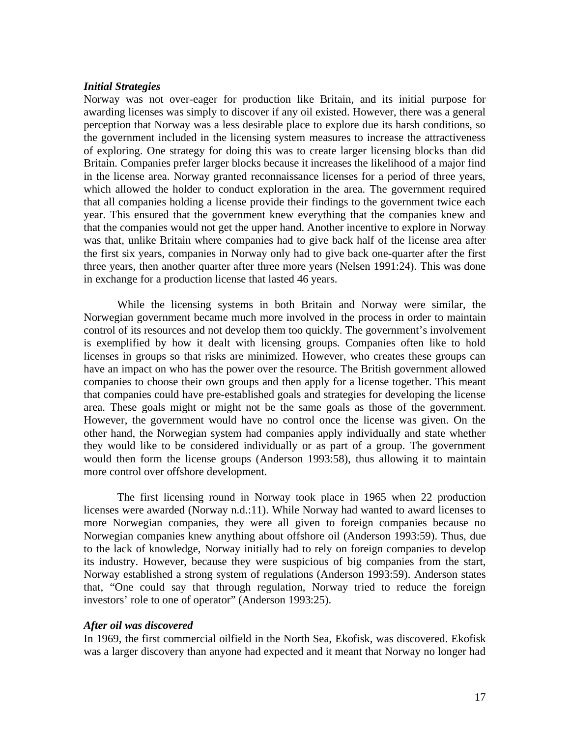## *Initial Strategies*

Norway was not over-eager for production like Britain, and its initial purpose for awarding licenses was simply to discover if any oil existed. However, there was a general perception that Norway was a less desirable place to explore due its harsh conditions, so the government included in the licensing system measures to increase the attractiveness of exploring. One strategy for doing this was to create larger licensing blocks than did Britain. Companies prefer larger blocks because it increases the likelihood of a major find in the license area. Norway granted reconnaissance licenses for a period of three years, which allowed the holder to conduct exploration in the area. The government required that all companies holding a license provide their findings to the government twice each year. This ensured that the government knew everything that the companies knew and that the companies would not get the upper hand. Another incentive to explore in Norway was that, unlike Britain where companies had to give back half of the license area after the first six years, companies in Norway only had to give back one-quarter after the first three years, then another quarter after three more years (Nelsen 1991:24). This was done in exchange for a production license that lasted 46 years.

 While the licensing systems in both Britain and Norway were similar, the Norwegian government became much more involved in the process in order to maintain control of its resources and not develop them too quickly. The government's involvement is exemplified by how it dealt with licensing groups. Companies often like to hold licenses in groups so that risks are minimized. However, who creates these groups can have an impact on who has the power over the resource. The British government allowed companies to choose their own groups and then apply for a license together. This meant that companies could have pre-established goals and strategies for developing the license area. These goals might or might not be the same goals as those of the government. However, the government would have no control once the license was given. On the other hand, the Norwegian system had companies apply individually and state whether they would like to be considered individually or as part of a group. The government would then form the license groups (Anderson 1993:58), thus allowing it to maintain more control over offshore development.

 The first licensing round in Norway took place in 1965 when 22 production licenses were awarded (Norway n.d.:11). While Norway had wanted to award licenses to more Norwegian companies, they were all given to foreign companies because no Norwegian companies knew anything about offshore oil (Anderson 1993:59). Thus, due to the lack of knowledge, Norway initially had to rely on foreign companies to develop its industry. However, because they were suspicious of big companies from the start, Norway established a strong system of regulations (Anderson 1993:59). Anderson states that, "One could say that through regulation, Norway tried to reduce the foreign investors' role to one of operator" (Anderson 1993:25).

## *After oil was discovered*

In 1969, the first commercial oilfield in the North Sea, Ekofisk, was discovered. Ekofisk was a larger discovery than anyone had expected and it meant that Norway no longer had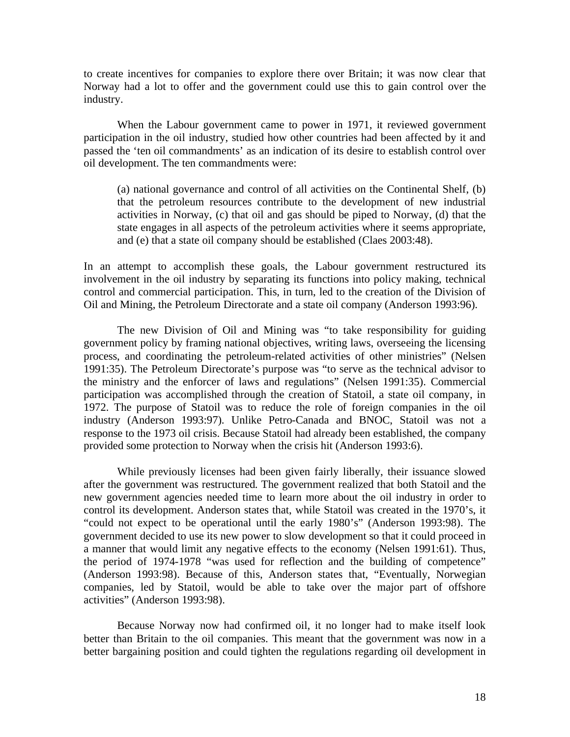to create incentives for companies to explore there over Britain; it was now clear that Norway had a lot to offer and the government could use this to gain control over the industry.

 When the Labour government came to power in 1971, it reviewed government participation in the oil industry, studied how other countries had been affected by it and passed the 'ten oil commandments' as an indication of its desire to establish control over oil development. The ten commandments were:

(a) national governance and control of all activities on the Continental Shelf, (b) that the petroleum resources contribute to the development of new industrial activities in Norway, (c) that oil and gas should be piped to Norway, (d) that the state engages in all aspects of the petroleum activities where it seems appropriate, and (e) that a state oil company should be established (Claes 2003:48).

In an attempt to accomplish these goals, the Labour government restructured its involvement in the oil industry by separating its functions into policy making, technical control and commercial participation. This, in turn, led to the creation of the Division of Oil and Mining, the Petroleum Directorate and a state oil company (Anderson 1993:96).

 The new Division of Oil and Mining was "to take responsibility for guiding government policy by framing national objectives, writing laws, overseeing the licensing process, and coordinating the petroleum-related activities of other ministries" (Nelsen 1991:35). The Petroleum Directorate's purpose was "to serve as the technical advisor to the ministry and the enforcer of laws and regulations" (Nelsen 1991:35). Commercial participation was accomplished through the creation of Statoil, a state oil company, in 1972. The purpose of Statoil was to reduce the role of foreign companies in the oil industry (Anderson 1993:97). Unlike Petro-Canada and BNOC, Statoil was not a response to the 1973 oil crisis. Because Statoil had already been established, the company provided some protection to Norway when the crisis hit (Anderson 1993:6).

 While previously licenses had been given fairly liberally, their issuance slowed after the government was restructured. The government realized that both Statoil and the new government agencies needed time to learn more about the oil industry in order to control its development. Anderson states that, while Statoil was created in the 1970's, it "could not expect to be operational until the early 1980's" (Anderson 1993:98). The government decided to use its new power to slow development so that it could proceed in a manner that would limit any negative effects to the economy (Nelsen 1991:61). Thus, the period of 1974-1978 "was used for reflection and the building of competence" (Anderson 1993:98). Because of this, Anderson states that, "Eventually, Norwegian companies, led by Statoil, would be able to take over the major part of offshore activities" (Anderson 1993:98).

 Because Norway now had confirmed oil, it no longer had to make itself look better than Britain to the oil companies. This meant that the government was now in a better bargaining position and could tighten the regulations regarding oil development in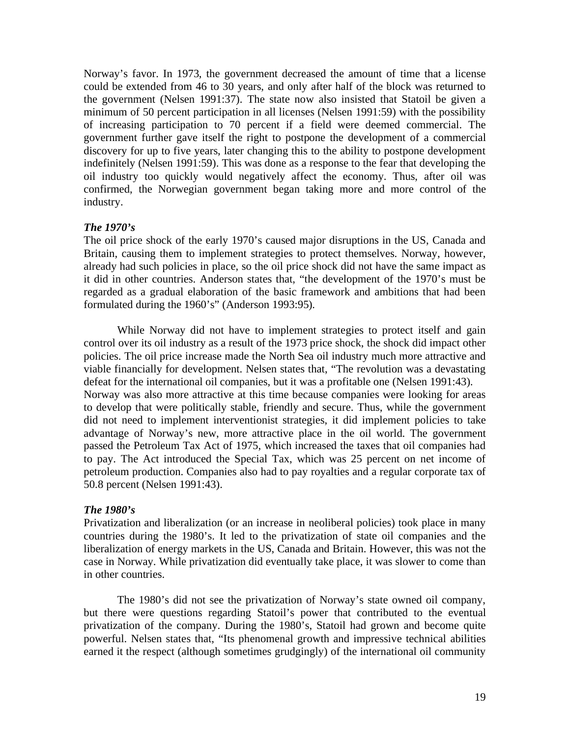Norway's favor. In 1973, the government decreased the amount of time that a license could be extended from 46 to 30 years, and only after half of the block was returned to the government (Nelsen 1991:37). The state now also insisted that Statoil be given a minimum of 50 percent participation in all licenses (Nelsen 1991:59) with the possibility of increasing participation to 70 percent if a field were deemed commercial. The government further gave itself the right to postpone the development of a commercial discovery for up to five years, later changing this to the ability to postpone development indefinitely (Nelsen 1991:59). This was done as a response to the fear that developing the oil industry too quickly would negatively affect the economy. Thus, after oil was confirmed, the Norwegian government began taking more and more control of the industry.

## *The 1970's*

The oil price shock of the early 1970's caused major disruptions in the US, Canada and Britain, causing them to implement strategies to protect themselves. Norway, however, already had such policies in place, so the oil price shock did not have the same impact as it did in other countries. Anderson states that, "the development of the 1970's must be regarded as a gradual elaboration of the basic framework and ambitions that had been formulated during the 1960's" (Anderson 1993:95).

 While Norway did not have to implement strategies to protect itself and gain control over its oil industry as a result of the 1973 price shock, the shock did impact other policies. The oil price increase made the North Sea oil industry much more attractive and viable financially for development. Nelsen states that, "The revolution was a devastating defeat for the international oil companies, but it was a profitable one (Nelsen 1991:43). Norway was also more attractive at this time because companies were looking for areas to develop that were politically stable, friendly and secure. Thus, while the government did not need to implement interventionist strategies, it did implement policies to take advantage of Norway's new, more attractive place in the oil world. The government passed the Petroleum Tax Act of 1975, which increased the taxes that oil companies had to pay. The Act introduced the Special Tax, which was 25 percent on net income of petroleum production. Companies also had to pay royalties and a regular corporate tax of 50.8 percent (Nelsen 1991:43).

# *The 1980's*

Privatization and liberalization (or an increase in neoliberal policies) took place in many countries during the 1980's. It led to the privatization of state oil companies and the liberalization of energy markets in the US, Canada and Britain. However, this was not the case in Norway. While privatization did eventually take place, it was slower to come than in other countries.

 The 1980's did not see the privatization of Norway's state owned oil company, but there were questions regarding Statoil's power that contributed to the eventual privatization of the company. During the 1980's, Statoil had grown and become quite powerful. Nelsen states that, "Its phenomenal growth and impressive technical abilities earned it the respect (although sometimes grudgingly) of the international oil community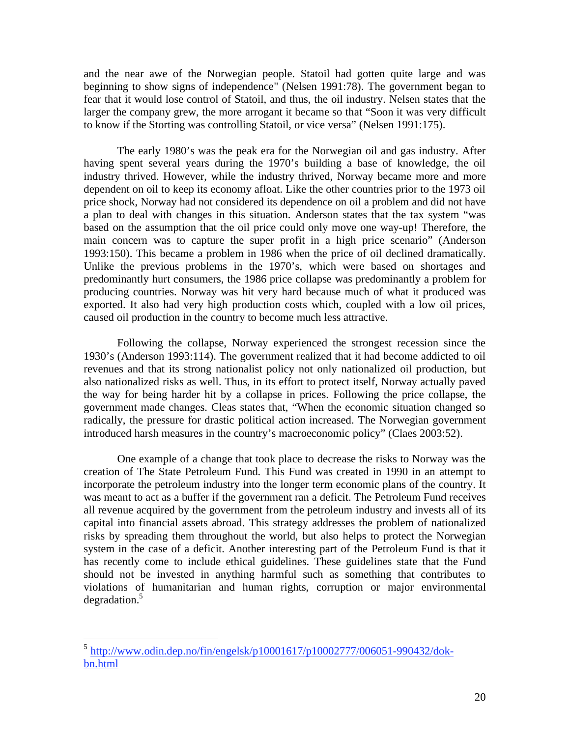and the near awe of the Norwegian people. Statoil had gotten quite large and was beginning to show signs of independence" (Nelsen 1991:78). The government began to fear that it would lose control of Statoil, and thus, the oil industry. Nelsen states that the larger the company grew, the more arrogant it became so that "Soon it was very difficult to know if the Storting was controlling Statoil, or vice versa" (Nelsen 1991:175).

The early 1980's was the peak era for the Norwegian oil and gas industry. After having spent several years during the 1970's building a base of knowledge, the oil industry thrived. However, while the industry thrived, Norway became more and more dependent on oil to keep its economy afloat. Like the other countries prior to the 1973 oil price shock, Norway had not considered its dependence on oil a problem and did not have a plan to deal with changes in this situation. Anderson states that the tax system "was based on the assumption that the oil price could only move one way-up! Therefore, the main concern was to capture the super profit in a high price scenario" (Anderson 1993:150). This became a problem in 1986 when the price of oil declined dramatically. Unlike the previous problems in the 1970's, which were based on shortages and predominantly hurt consumers, the 1986 price collapse was predominantly a problem for producing countries. Norway was hit very hard because much of what it produced was exported. It also had very high production costs which, coupled with a low oil prices, caused oil production in the country to become much less attractive.

 Following the collapse, Norway experienced the strongest recession since the 1930's (Anderson 1993:114). The government realized that it had become addicted to oil revenues and that its strong nationalist policy not only nationalized oil production, but also nationalized risks as well. Thus, in its effort to protect itself, Norway actually paved the way for being harder hit by a collapse in prices. Following the price collapse, the government made changes. Cleas states that, "When the economic situation changed so radically, the pressure for drastic political action increased. The Norwegian government introduced harsh measures in the country's macroeconomic policy" (Claes 2003:52).

 One example of a change that took place to decrease the risks to Norway was the creation of The State Petroleum Fund. This Fund was created in 1990 in an attempt to incorporate the petroleum industry into the longer term economic plans of the country. It was meant to act as a buffer if the government ran a deficit. The Petroleum Fund receives all revenue acquired by the government from the petroleum industry and invests all of its capital into financial assets abroad. This strategy addresses the problem of nationalized risks by spreading them throughout the world, but also helps to protect the Norwegian system in the case of a deficit. Another interesting part of the Petroleum Fund is that it has recently come to include ethical guidelines. These guidelines state that the Fund should not be invested in anything harmful such as something that contributes to violations of humanitarian and human rights, corruption or major environmental degradation.<sup>5</sup>

 $\overline{a}$ 

<sup>5</sup> http://www.odin.dep.no/fin/engelsk/p10001617/p10002777/006051-990432/dokbn.html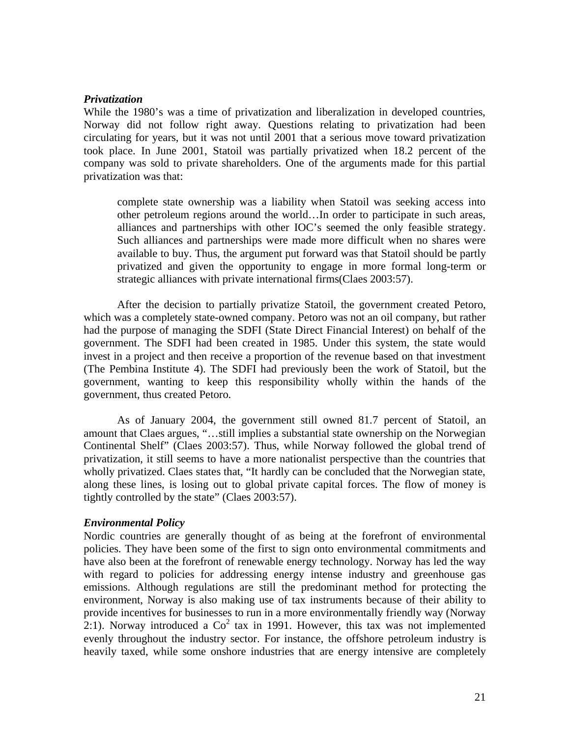## *Privatization*

While the 1980's was a time of privatization and liberalization in developed countries, Norway did not follow right away. Questions relating to privatization had been circulating for years, but it was not until 2001 that a serious move toward privatization took place. In June 2001, Statoil was partially privatized when 18.2 percent of the company was sold to private shareholders. One of the arguments made for this partial privatization was that:

complete state ownership was a liability when Statoil was seeking access into other petroleum regions around the world…In order to participate in such areas, alliances and partnerships with other IOC's seemed the only feasible strategy. Such alliances and partnerships were made more difficult when no shares were available to buy. Thus, the argument put forward was that Statoil should be partly privatized and given the opportunity to engage in more formal long-term or strategic alliances with private international firms(Claes 2003:57).

 After the decision to partially privatize Statoil, the government created Petoro, which was a completely state-owned company. Petoro was not an oil company, but rather had the purpose of managing the SDFI (State Direct Financial Interest) on behalf of the government. The SDFI had been created in 1985. Under this system, the state would invest in a project and then receive a proportion of the revenue based on that investment (The Pembina Institute 4). The SDFI had previously been the work of Statoil, but the government, wanting to keep this responsibility wholly within the hands of the government, thus created Petoro.

 As of January 2004, the government still owned 81.7 percent of Statoil, an amount that Claes argues, "…still implies a substantial state ownership on the Norwegian Continental Shelf" (Claes 2003:57). Thus, while Norway followed the global trend of privatization, it still seems to have a more nationalist perspective than the countries that wholly privatized. Claes states that, "It hardly can be concluded that the Norwegian state, along these lines, is losing out to global private capital forces. The flow of money is tightly controlled by the state" (Claes 2003:57).

## *Environmental Policy*

Nordic countries are generally thought of as being at the forefront of environmental policies. They have been some of the first to sign onto environmental commitments and have also been at the forefront of renewable energy technology. Norway has led the way with regard to policies for addressing energy intense industry and greenhouse gas emissions. Although regulations are still the predominant method for protecting the environment, Norway is also making use of tax instruments because of their ability to provide incentives for businesses to run in a more environmentally friendly way (Norway 2:1). Norway introduced a  $Co^2$  tax in 1991. However, this tax was not implemented evenly throughout the industry sector. For instance, the offshore petroleum industry is heavily taxed, while some onshore industries that are energy intensive are completely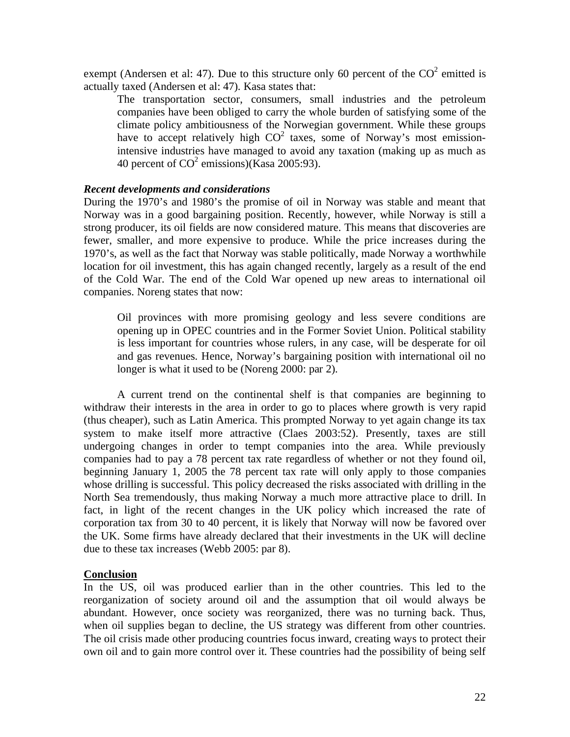exempt (Andersen et al: 47). Due to this structure only 60 percent of the  $CO<sup>2</sup>$  emitted is actually taxed (Andersen et al: 47). Kasa states that:

The transportation sector, consumers, small industries and the petroleum companies have been obliged to carry the whole burden of satisfying some of the climate policy ambitiousness of the Norwegian government. While these groups have to accept relatively high  $CO<sup>2</sup>$  taxes, some of Norway's most emissionintensive industries have managed to avoid any taxation (making up as much as 40 percent of  $CO^2$  emissions)(Kasa 2005:93).

## *Recent developments and considerations*

During the 1970's and 1980's the promise of oil in Norway was stable and meant that Norway was in a good bargaining position. Recently, however, while Norway is still a strong producer, its oil fields are now considered mature. This means that discoveries are fewer, smaller, and more expensive to produce. While the price increases during the 1970's, as well as the fact that Norway was stable politically, made Norway a worthwhile location for oil investment, this has again changed recently, largely as a result of the end of the Cold War. The end of the Cold War opened up new areas to international oil companies. Noreng states that now:

Oil provinces with more promising geology and less severe conditions are opening up in OPEC countries and in the Former Soviet Union. Political stability is less important for countries whose rulers, in any case, will be desperate for oil and gas revenues. Hence, Norway's bargaining position with international oil no longer is what it used to be (Noreng 2000: par 2).

 A current trend on the continental shelf is that companies are beginning to withdraw their interests in the area in order to go to places where growth is very rapid (thus cheaper), such as Latin America. This prompted Norway to yet again change its tax system to make itself more attractive (Claes 2003:52). Presently, taxes are still undergoing changes in order to tempt companies into the area. While previously companies had to pay a 78 percent tax rate regardless of whether or not they found oil, beginning January 1, 2005 the 78 percent tax rate will only apply to those companies whose drilling is successful. This policy decreased the risks associated with drilling in the North Sea tremendously, thus making Norway a much more attractive place to drill. In fact, in light of the recent changes in the UK policy which increased the rate of corporation tax from 30 to 40 percent, it is likely that Norway will now be favored over the UK. Some firms have already declared that their investments in the UK will decline due to these tax increases (Webb 2005: par 8).

## **Conclusion**

In the US, oil was produced earlier than in the other countries. This led to the reorganization of society around oil and the assumption that oil would always be abundant. However, once society was reorganized, there was no turning back. Thus, when oil supplies began to decline, the US strategy was different from other countries. The oil crisis made other producing countries focus inward, creating ways to protect their own oil and to gain more control over it. These countries had the possibility of being self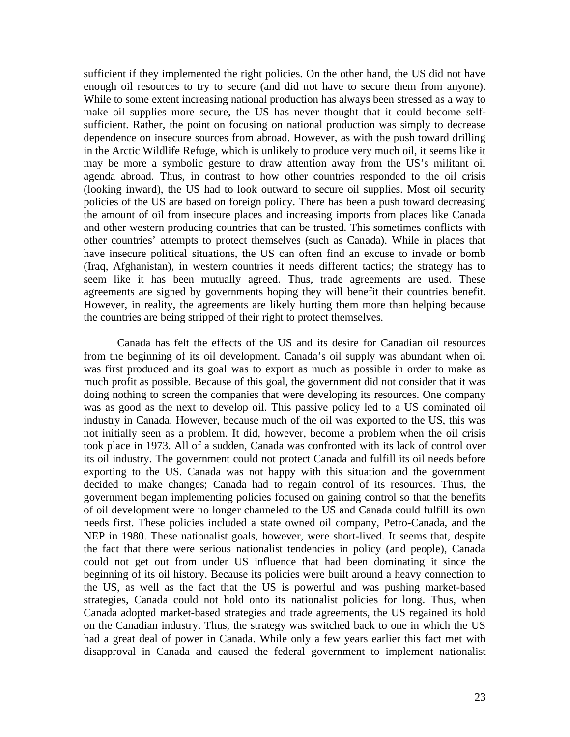sufficient if they implemented the right policies. On the other hand, the US did not have enough oil resources to try to secure (and did not have to secure them from anyone). While to some extent increasing national production has always been stressed as a way to make oil supplies more secure, the US has never thought that it could become selfsufficient. Rather, the point on focusing on national production was simply to decrease dependence on insecure sources from abroad. However, as with the push toward drilling in the Arctic Wildlife Refuge, which is unlikely to produce very much oil, it seems like it may be more a symbolic gesture to draw attention away from the US's militant oil agenda abroad. Thus, in contrast to how other countries responded to the oil crisis (looking inward), the US had to look outward to secure oil supplies. Most oil security policies of the US are based on foreign policy. There has been a push toward decreasing the amount of oil from insecure places and increasing imports from places like Canada and other western producing countries that can be trusted. This sometimes conflicts with other countries' attempts to protect themselves (such as Canada). While in places that have insecure political situations, the US can often find an excuse to invade or bomb (Iraq, Afghanistan), in western countries it needs different tactics; the strategy has to seem like it has been mutually agreed. Thus, trade agreements are used. These agreements are signed by governments hoping they will benefit their countries benefit. However, in reality, the agreements are likely hurting them more than helping because the countries are being stripped of their right to protect themselves.

 Canada has felt the effects of the US and its desire for Canadian oil resources from the beginning of its oil development. Canada's oil supply was abundant when oil was first produced and its goal was to export as much as possible in order to make as much profit as possible. Because of this goal, the government did not consider that it was doing nothing to screen the companies that were developing its resources. One company was as good as the next to develop oil. This passive policy led to a US dominated oil industry in Canada. However, because much of the oil was exported to the US, this was not initially seen as a problem. It did, however, become a problem when the oil crisis took place in 1973. All of a sudden, Canada was confronted with its lack of control over its oil industry. The government could not protect Canada and fulfill its oil needs before exporting to the US. Canada was not happy with this situation and the government decided to make changes; Canada had to regain control of its resources. Thus, the government began implementing policies focused on gaining control so that the benefits of oil development were no longer channeled to the US and Canada could fulfill its own needs first. These policies included a state owned oil company, Petro-Canada, and the NEP in 1980. These nationalist goals, however, were short-lived. It seems that, despite the fact that there were serious nationalist tendencies in policy (and people), Canada could not get out from under US influence that had been dominating it since the beginning of its oil history. Because its policies were built around a heavy connection to the US, as well as the fact that the US is powerful and was pushing market-based strategies, Canada could not hold onto its nationalist policies for long. Thus, when Canada adopted market-based strategies and trade agreements, the US regained its hold on the Canadian industry. Thus, the strategy was switched back to one in which the US had a great deal of power in Canada. While only a few years earlier this fact met with disapproval in Canada and caused the federal government to implement nationalist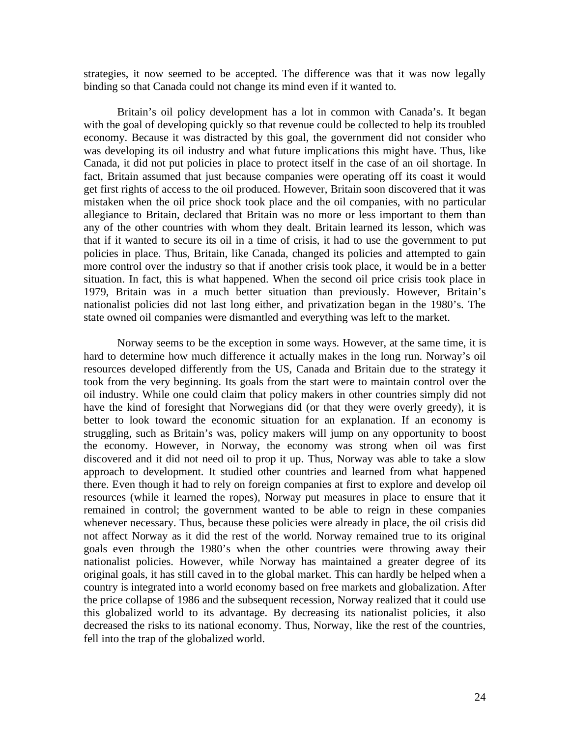strategies, it now seemed to be accepted. The difference was that it was now legally binding so that Canada could not change its mind even if it wanted to.

 Britain's oil policy development has a lot in common with Canada's. It began with the goal of developing quickly so that revenue could be collected to help its troubled economy. Because it was distracted by this goal, the government did not consider who was developing its oil industry and what future implications this might have. Thus, like Canada, it did not put policies in place to protect itself in the case of an oil shortage. In fact, Britain assumed that just because companies were operating off its coast it would get first rights of access to the oil produced. However, Britain soon discovered that it was mistaken when the oil price shock took place and the oil companies, with no particular allegiance to Britain, declared that Britain was no more or less important to them than any of the other countries with whom they dealt. Britain learned its lesson, which was that if it wanted to secure its oil in a time of crisis, it had to use the government to put policies in place. Thus, Britain, like Canada, changed its policies and attempted to gain more control over the industry so that if another crisis took place, it would be in a better situation. In fact, this is what happened. When the second oil price crisis took place in 1979, Britain was in a much better situation than previously. However, Britain's nationalist policies did not last long either, and privatization began in the 1980's. The state owned oil companies were dismantled and everything was left to the market.

 Norway seems to be the exception in some ways. However, at the same time, it is hard to determine how much difference it actually makes in the long run. Norway's oil resources developed differently from the US, Canada and Britain due to the strategy it took from the very beginning. Its goals from the start were to maintain control over the oil industry. While one could claim that policy makers in other countries simply did not have the kind of foresight that Norwegians did (or that they were overly greedy), it is better to look toward the economic situation for an explanation. If an economy is struggling, such as Britain's was, policy makers will jump on any opportunity to boost the economy. However, in Norway, the economy was strong when oil was first discovered and it did not need oil to prop it up. Thus, Norway was able to take a slow approach to development. It studied other countries and learned from what happened there. Even though it had to rely on foreign companies at first to explore and develop oil resources (while it learned the ropes), Norway put measures in place to ensure that it remained in control; the government wanted to be able to reign in these companies whenever necessary. Thus, because these policies were already in place, the oil crisis did not affect Norway as it did the rest of the world. Norway remained true to its original goals even through the 1980's when the other countries were throwing away their nationalist policies. However, while Norway has maintained a greater degree of its original goals, it has still caved in to the global market. This can hardly be helped when a country is integrated into a world economy based on free markets and globalization. After the price collapse of 1986 and the subsequent recession, Norway realized that it could use this globalized world to its advantage. By decreasing its nationalist policies, it also decreased the risks to its national economy. Thus, Norway, like the rest of the countries, fell into the trap of the globalized world.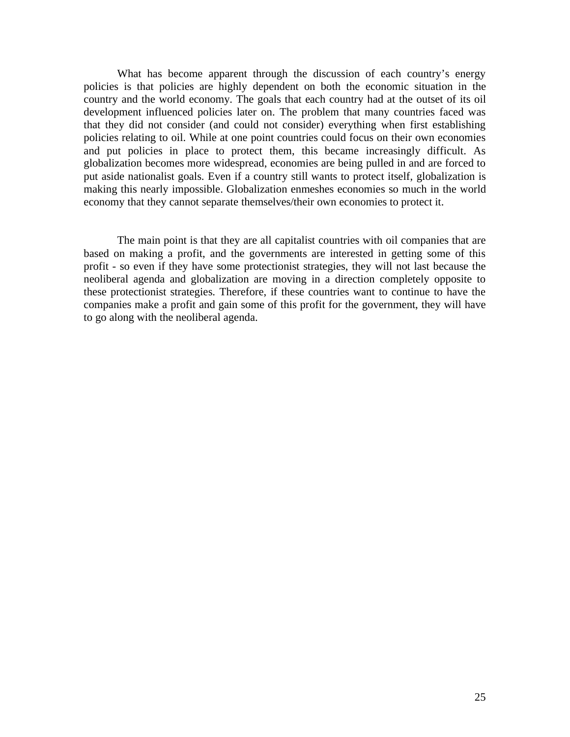What has become apparent through the discussion of each country's energy policies is that policies are highly dependent on both the economic situation in the country and the world economy. The goals that each country had at the outset of its oil development influenced policies later on. The problem that many countries faced was that they did not consider (and could not consider) everything when first establishing policies relating to oil. While at one point countries could focus on their own economies and put policies in place to protect them, this became increasingly difficult. As globalization becomes more widespread, economies are being pulled in and are forced to put aside nationalist goals. Even if a country still wants to protect itself, globalization is making this nearly impossible. Globalization enmeshes economies so much in the world economy that they cannot separate themselves/their own economies to protect it.

The main point is that they are all capitalist countries with oil companies that are based on making a profit, and the governments are interested in getting some of this profit - so even if they have some protectionist strategies, they will not last because the neoliberal agenda and globalization are moving in a direction completely opposite to these protectionist strategies. Therefore, if these countries want to continue to have the companies make a profit and gain some of this profit for the government, they will have to go along with the neoliberal agenda.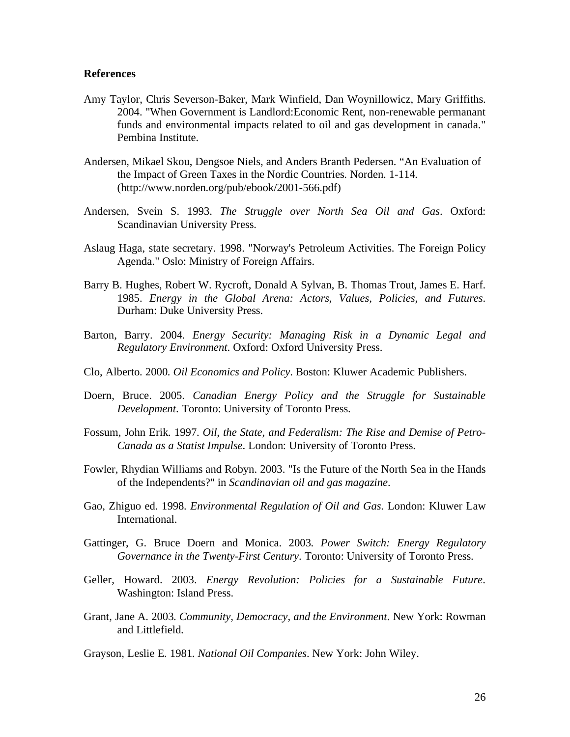## **References**

- Amy Taylor, Chris Severson-Baker, Mark Winfield, Dan Woynillowicz, Mary Griffiths. 2004. "When Government is Landlord:Economic Rent, non-renewable permanant funds and environmental impacts related to oil and gas development in canada." Pembina Institute.
- Andersen, Mikael Skou, Dengsoe Niels, and Anders Branth Pedersen. "An Evaluation of the Impact of Green Taxes in the Nordic Countries. Norden. 1-114. (http://www.norden.org/pub/ebook/2001-566.pdf)
- Andersen, Svein S. 1993. *The Struggle over North Sea Oil and Gas*. Oxford: Scandinavian University Press.
- Aslaug Haga, state secretary. 1998. "Norway's Petroleum Activities. The Foreign Policy Agenda." Oslo: Ministry of Foreign Affairs.
- Barry B. Hughes, Robert W. Rycroft, Donald A Sylvan, B. Thomas Trout, James E. Harf. 1985. *Energy in the Global Arena: Actors, Values, Policies, and Futures*. Durham: Duke University Press.
- Barton, Barry. 2004. *Energy Security: Managing Risk in a Dynamic Legal and Regulatory Environment*. Oxford: Oxford University Press.
- Clo, Alberto. 2000. *Oil Economics and Policy*. Boston: Kluwer Academic Publishers.
- Doern, Bruce. 2005. *Canadian Energy Policy and the Struggle for Sustainable Development*. Toronto: University of Toronto Press.
- Fossum, John Erik. 1997. *Oil, the State, and Federalism: The Rise and Demise of Petro-Canada as a Statist Impulse*. London: University of Toronto Press.
- Fowler, Rhydian Williams and Robyn. 2003. "Is the Future of the North Sea in the Hands of the Independents?" in *Scandinavian oil and gas magazine*.
- Gao, Zhiguo ed. 1998. *Environmental Regulation of Oil and Gas*. London: Kluwer Law International.
- Gattinger, G. Bruce Doern and Monica. 2003. *Power Switch: Energy Regulatory Governance in the Twenty-First Century*. Toronto: University of Toronto Press.
- Geller, Howard. 2003. *Energy Revolution: Policies for a Sustainable Future*. Washington: Island Press.
- Grant, Jane A. 2003. *Community, Democracy, and the Environment*. New York: Rowman and Littlefield.

Grayson, Leslie E. 1981. *National Oil Companies*. New York: John Wiley.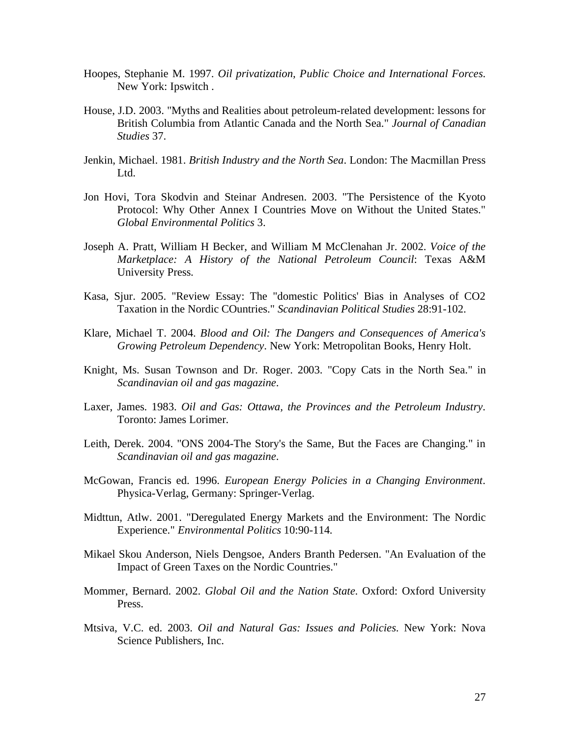- Hoopes, Stephanie M. 1997. *Oil privatization, Public Choice and International Forces*. New York: Ipswitch .
- House, J.D. 2003. "Myths and Realities about petroleum-related development: lessons for British Columbia from Atlantic Canada and the North Sea." *Journal of Canadian Studies* 37.
- Jenkin, Michael. 1981. *British Industry and the North Sea*. London: The Macmillan Press Ltd.
- Jon Hovi, Tora Skodvin and Steinar Andresen. 2003. "The Persistence of the Kyoto Protocol: Why Other Annex I Countries Move on Without the United States." *Global Environmental Politics* 3.
- Joseph A. Pratt, William H Becker, and William M McClenahan Jr. 2002. *Voice of the Marketplace: A History of the National Petroleum Council*: Texas A&M University Press.
- Kasa, Sjur. 2005. "Review Essay: The "domestic Politics' Bias in Analyses of CO2 Taxation in the Nordic COuntries." *Scandinavian Political Studies* 28:91-102.
- Klare, Michael T. 2004. *Blood and Oil: The Dangers and Consequences of America's Growing Petroleum Dependency*. New York: Metropolitan Books, Henry Holt.
- Knight, Ms. Susan Townson and Dr. Roger. 2003. "Copy Cats in the North Sea." in *Scandinavian oil and gas magazine*.
- Laxer, James. 1983. *Oil and Gas: Ottawa, the Provinces and the Petroleum Industry*. Toronto: James Lorimer.
- Leith, Derek. 2004. "ONS 2004-The Story's the Same, But the Faces are Changing." in *Scandinavian oil and gas magazine*.
- McGowan, Francis ed. 1996. *European Energy Policies in a Changing Environment*. Physica-Verlag, Germany: Springer-Verlag.
- Midttun, Atlw. 2001. "Deregulated Energy Markets and the Environment: The Nordic Experience." *Environmental Politics* 10:90-114.
- Mikael Skou Anderson, Niels Dengsoe, Anders Branth Pedersen. "An Evaluation of the Impact of Green Taxes on the Nordic Countries."
- Mommer, Bernard. 2002. *Global Oil and the Nation State*. Oxford: Oxford University Press.
- Mtsiva, V.C. ed. 2003. *Oil and Natural Gas: Issues and Policies*. New York: Nova Science Publishers, Inc.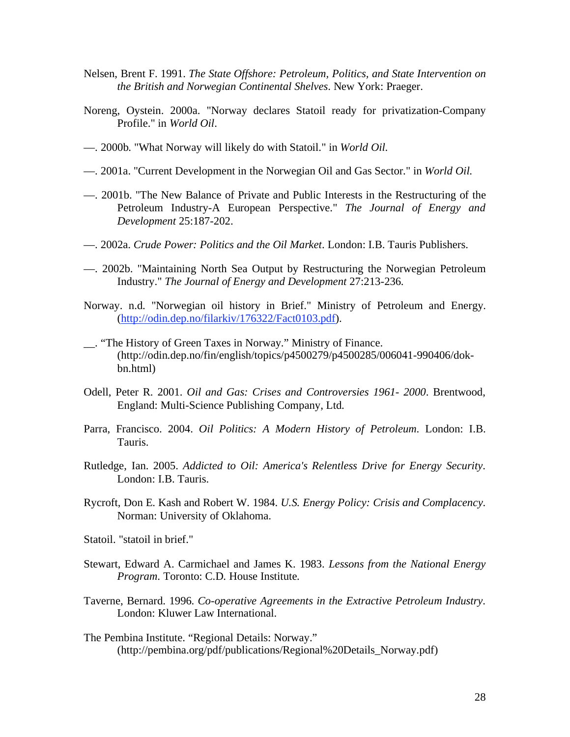- Nelsen, Brent F. 1991. *The State Offshore: Petroleum, Politics, and State Intervention on the British and Norwegian Continental Shelves*. New York: Praeger.
- Noreng, Oystein. 2000a. "Norway declares Statoil ready for privatization-Company Profile." in *World Oil*.
- —. 2000b. "What Norway will likely do with Statoil." in *World Oil*.
- —. 2001a. "Current Development in the Norwegian Oil and Gas Sector." in *World Oil*.
- —. 2001b. "The New Balance of Private and Public Interests in the Restructuring of the Petroleum Industry-A European Perspective." *The Journal of Energy and Development* 25:187-202.
- —. 2002a. *Crude Power: Politics and the Oil Market*. London: I.B. Tauris Publishers.
- —. 2002b. "Maintaining North Sea Output by Restructuring the Norwegian Petroleum Industry." *The Journal of Energy and Development* 27:213-236.
- Norway. n.d. "Norwegian oil history in Brief." Ministry of Petroleum and Energy. (http://odin.dep.no/filarkiv/176322/Fact0103.pdf).
- \_\_. "The History of Green Taxes in Norway." Ministry of Finance. (http://odin.dep.no/fin/english/topics/p4500279/p4500285/006041-990406/dokbn.html)
- Odell, Peter R. 2001. *Oil and Gas: Crises and Controversies 1961- 2000*. Brentwood, England: Multi-Science Publishing Company, Ltd.
- Parra, Francisco. 2004. *Oil Politics: A Modern History of Petroleum*. London: I.B. Tauris.
- Rutledge, Ian. 2005. *Addicted to Oil: America's Relentless Drive for Energy Security*. London: I.B. Tauris.
- Rycroft, Don E. Kash and Robert W. 1984. *U.S. Energy Policy: Crisis and Complacency*. Norman: University of Oklahoma.
- Statoil. "statoil in brief."
- Stewart, Edward A. Carmichael and James K. 1983. *Lessons from the National Energy Program*. Toronto: C.D. House Institute.
- Taverne, Bernard. 1996. *Co-operative Agreements in the Extractive Petroleum Industry*. London: Kluwer Law International.
- The Pembina Institute. "Regional Details: Norway." (http://pembina.org/pdf/publications/Regional%20Details\_Norway.pdf)